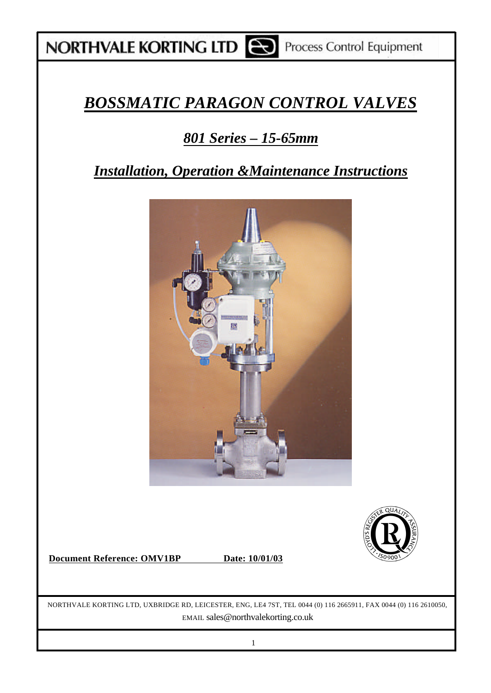## *BOSSMATIC PARAGON CONTROL VALVES*

## *801 Series – 15-65mm*

### *Installation, Operation &Maintenance Instructions*



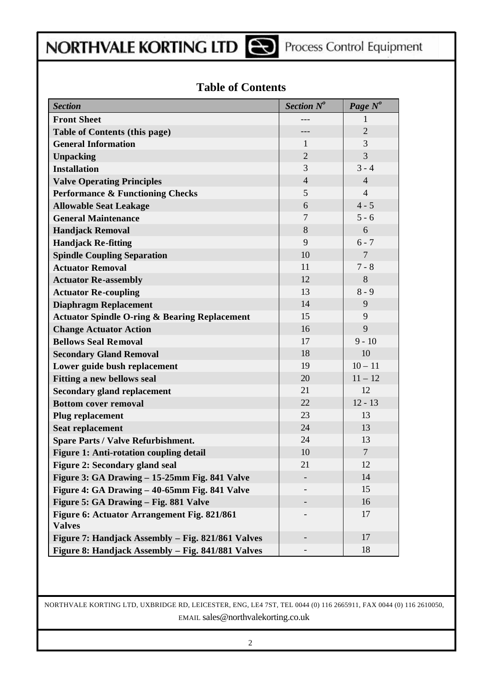### **Table of Contents**

| <b>Section</b>                                               | Section $N^o$  | Page N <sup>o</sup> |
|--------------------------------------------------------------|----------------|---------------------|
| <b>Front Sheet</b>                                           |                | 1                   |
| <b>Table of Contents (this page)</b>                         |                | $\overline{2}$      |
| <b>General Information</b>                                   | 1              | 3                   |
| <b>Unpacking</b>                                             | $\overline{2}$ | 3                   |
| <b>Installation</b>                                          | 3              | $3 - 4$             |
| <b>Valve Operating Principles</b>                            | $\overline{4}$ | $\overline{4}$      |
| <b>Performance &amp; Functioning Checks</b>                  | 5              | $\overline{4}$      |
| <b>Allowable Seat Leakage</b>                                | 6              | $4 - 5$             |
| <b>General Maintenance</b>                                   | 7              | $5 - 6$             |
| <b>Handjack Removal</b>                                      | 8              | 6                   |
| <b>Handjack Re-fitting</b>                                   | 9              | $6 - 7$             |
| <b>Spindle Coupling Separation</b>                           | 10             | $\overline{7}$      |
| <b>Actuator Removal</b>                                      | 11             | $7 - 8$             |
| <b>Actuator Re-assembly</b>                                  | 12             | 8                   |
| <b>Actuator Re-coupling</b>                                  | 13             | $8 - 9$             |
| <b>Diaphragm Replacement</b>                                 | 14             | 9                   |
| <b>Actuator Spindle O-ring &amp; Bearing Replacement</b>     | 15             | 9                   |
| <b>Change Actuator Action</b>                                | 16             | 9                   |
| <b>Bellows Seal Removal</b>                                  | 17             | $9 - 10$            |
| <b>Secondary Gland Removal</b>                               | 18             | 10                  |
| Lower guide bush replacement                                 | 19             | $10 - 11$           |
| <b>Fitting a new bellows seal</b>                            | 20             | $11 - 12$           |
| <b>Secondary gland replacement</b>                           | 21             | 12                  |
| <b>Bottom cover removal</b>                                  | 22             | $12 - 13$           |
| Plug replacement                                             | 23             | 13                  |
| <b>Seat replacement</b>                                      | 24             | 13                  |
| <b>Spare Parts / Valve Refurbishment.</b>                    | 24             | 13                  |
| <b>Figure 1: Anti-rotation coupling detail</b>               | 10             | $\overline{7}$      |
| Figure 2: Secondary gland seal                               | 21             | 12                  |
| Figure 3: GA Drawing – 15-25mm Fig. 841 Valve                |                | 14                  |
| Figure 4: GA Drawing - 40-65mm Fig. 841 Valve                |                | 15                  |
| Figure 5: GA Drawing - Fig. 881 Valve                        |                | 16                  |
| Figure 6: Actuator Arrangement Fig. 821/861<br><b>Valves</b> |                | 17                  |
| Figure 7: Handjack Assembly – Fig. 821/861 Valves            |                | 17                  |
| Figure 8: Handjack Assembly - Fig. 841/881 Valves            |                | 18                  |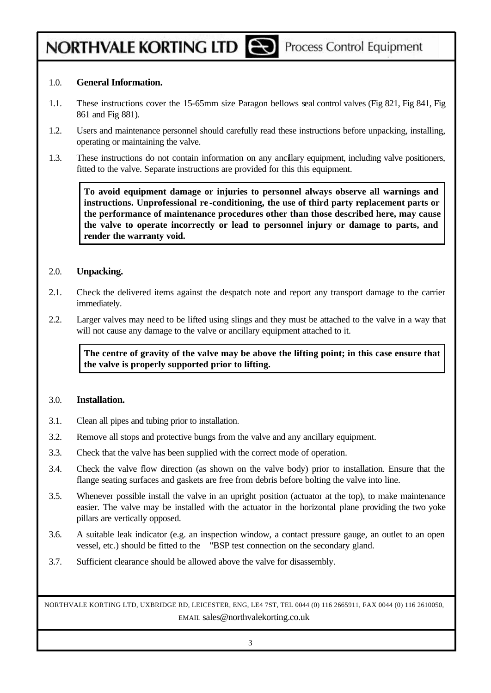#### 1.0. **General Information.**

- 1.1. These instructions cover the 15-65mm size Paragon bellows seal control valves (Fig 821, Fig 841, Fig 861 and Fig 881).
- 1.2. Users and maintenance personnel should carefully read these instructions before unpacking, installing, operating or maintaining the valve.
- 1.3. These instructions do not contain information on any ancillary equipment, including valve positioners, fitted to the valve. Separate instructions are provided for this this equipment.

**To avoid equipment damage or injuries to personnel always observe all warnings and instructions. Unprofessional re -conditioning, the use of third party replacement parts or the performance of maintenance procedures other than those described here, may cause the valve to operate incorrectly or lead to personnel injury or damage to parts, and render the warranty void.**

#### 2.0. **Unpacking.**

- 2.1. Check the delivered items against the despatch note and report any transport damage to the carrier immediately.
- 2.2. Larger valves may need to be lifted using slings and they must be attached to the valve in a way that will not cause any damage to the valve or ancillary equipment attached to it.

**The centre of gravity of the valve may be above the lifting point; in this case ensure that the valve is properly supported prior to lifting.**

#### 3.0. **Installation.**

- 3.1. Clean all pipes and tubing prior to installation.
- 3.2. Remove all stops and protective bungs from the valve and any ancillary equipment.
- 3.3. Check that the valve has been supplied with the correct mode of operation.
- 3.4. Check the valve flow direction (as shown on the valve body) prior to installation. Ensure that the flange seating surfaces and gaskets are free from debris before bolting the valve into line.
- 3.5. Whenever possible install the valve in an upright position (actuator at the top), to make maintenance easier. The valve may be installed with the actuator in the horizontal plane providing the two yoke pillars are vertically opposed.
- 3.6. A suitable leak indicator (e.g. an inspection window, a contact pressure gauge, an outlet to an open vessel, etc.) should be fitted to the "BSP test connection on the secondary gland.
- 3.7. Sufficient clearance should be allowed above the valve for disassembly.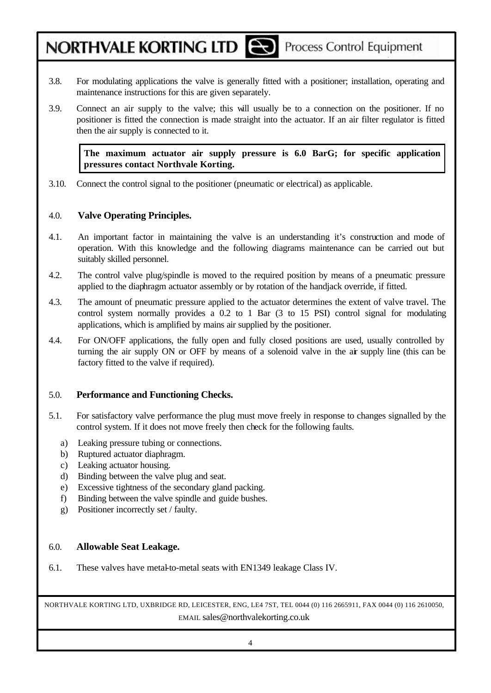Process Control Equipment

- 3.8. For modulating applications the valve is generally fitted with a positioner; installation, operating and maintenance instructions for this are given separately.
- 3.9. Connect an air supply to the valve; this will usually be to a connection on the positioner. If no positioner is fitted the connection is made straight into the actuator. If an air filter regulator is fitted then the air supply is connected to it.

**The maximum actuator air supply pressure is 6.0 BarG; for specific application pressures contact Northvale Korting.**

3.10. Connect the control signal to the positioner (pneumatic or electrical) as applicable.

#### 4.0. **Valve Operating Principles.**

NORTHVALE KORTING LTD

- 4.1. An important factor in maintaining the valve is an understanding it's construction and mode of operation. With this knowledge and the following diagrams maintenance can be carried out but suitably skilled personnel.
- 4.2. The control valve plug/spindle is moved to the required position by means of a pneumatic pressure applied to the diaphragm actuator assembly or by rotation of the handjack override, if fitted.
- 4.3. The amount of pneumatic pressure applied to the actuator determines the extent of valve travel. The control system normally provides a 0.2 to 1 Bar (3 to 15 PSI) control signal for modulating applications, which is amplified by mains air supplied by the positioner.
- 4.4. For ON/OFF applications, the fully open and fully closed positions are used, usually controlled by turning the air supply ON or OFF by means of a solenoid valve in the air supply line (this can be factory fitted to the valve if required).

#### 5.0. **Performance and Functioning Checks.**

- 5.1. For satisfactory valve performance the plug must move freely in response to changes signalled by the control system. If it does not move freely then check for the following faults.
	- a) Leaking pressure tubing or connections.
	- b) Ruptured actuator diaphragm.
	- c) Leaking actuator housing.
	- d) Binding between the valve plug and seat.
	- e) Excessive tightness of the secondary gland packing.
	- f) Binding between the valve spindle and guide bushes.
	- g) Positioner incorrectly set / faulty.

#### 6.0. **Allowable Seat Leakage.**

6.1. These valves have metal-to-metal seats with EN1349 leakage Class IV.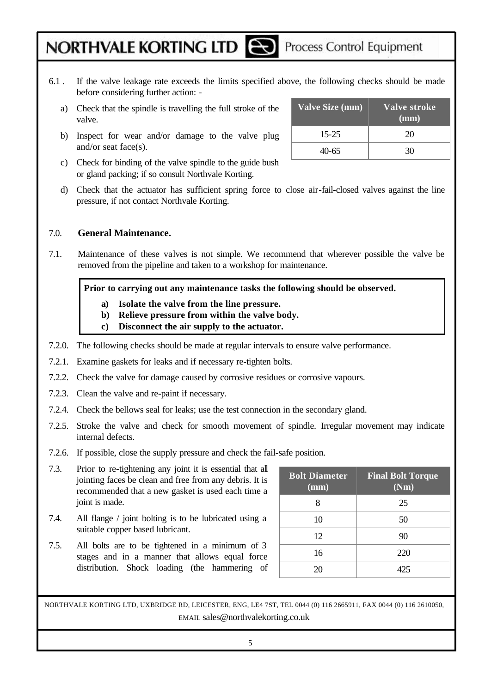- 6.1 . If the valve leakage rate exceeds the limits specified above, the following checks should be made before considering further action:
	- a) Check that the spindle is travelling the full stroke of the valve.
	- b) Inspect for wear and/or damage to the valve plug and/or seat face(s).
	- c) Check for binding of the valve spindle to the guide bush or gland packing; if so consult Northvale Korting.
	- d) Check that the actuator has sufficient spring force to close air-fail-closed valves against the line pressure, if not contact Northvale Korting.

#### 7.0. **General Maintenance.**

7.1. Maintenance of these valves is not simple. We recommend that wherever possible the valve be removed from the pipeline and taken to a workshop for maintenance.

**Prior to carrying out any maintenance tasks the following should be observed.**

- **a) Isolate the valve from the line pressure.**
- **b) Relieve pressure from within the valve body.**
- **c) Disconnect the air supply to the actuator.**
- 7.2.0. The following checks should be made at regular intervals to ensure valve performance.
- 7.2.1. Examine gaskets for leaks and if necessary re-tighten bolts.
- 7.2.2. Check the valve for damage caused by corrosive residues or corrosive vapours.
- 7.2.3. Clean the valve and re-paint if necessary.
- 7.2.4. Check the bellows seal for leaks; use the test connection in the secondary gland.
- 7.2.5. Stroke the valve and check for smooth movement of spindle. Irregular movement may indicate internal defects.
- 7.2.6. If possible, close the supply pressure and check the fail-safe position.
- 7.3. Prior to re-tightening any joint it is essential that all jointing faces be clean and free from any debris. It is recommended that a new gasket is used each time a joint is made.
- 7.4. All flange / joint bolting is to be lubricated using a suitable copper based lubricant.
- 7.5. All bolts are to be tightened in a minimum of 3 stages and in a manner that allows equal force distribution. Shock loading (the hammering of

| <b>Bolt Diameter</b><br>(mm) | <b>Final Bolt Torque</b><br>(Nm) |
|------------------------------|----------------------------------|
|                              | 25                               |
| 10                           | 50                               |
| 12                           | 90                               |
| 16                           | 220                              |
|                              | 125                              |

| Valve Size (mm) | Valve stroke<br>(mm) |
|-----------------|----------------------|
| $15 - 25$       | 20                   |
| 40-65           |                      |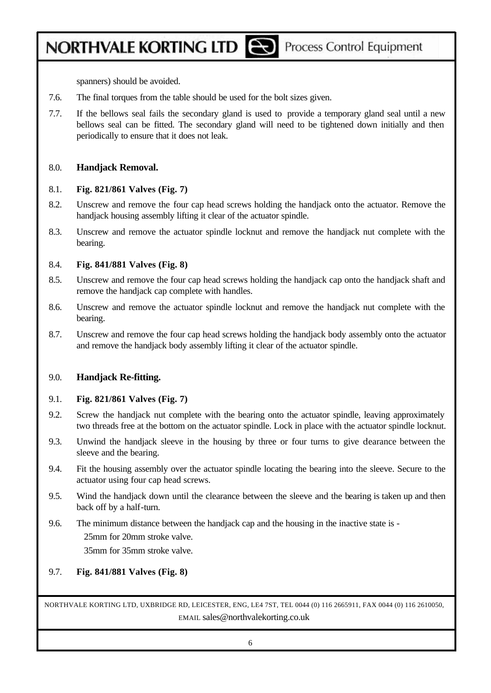# NORTHVALE KORTING LTD

spanners) should be avoided.

- 7.6. The final torques from the table should be used for the bolt sizes given.
- 7.7. If the bellows seal fails the secondary gland is used to provide a temporary gland seal until a new bellows seal can be fitted. The secondary gland will need to be tightened down initially and then periodically to ensure that it does not leak.

#### 8.0. **Handjack Removal.**

#### 8.1. **Fig. 821/861 Valves (Fig. 7)**

- 8.2. Unscrew and remove the four cap head screws holding the handjack onto the actuator. Remove the handjack housing assembly lifting it clear of the actuator spindle.
- 8.3. Unscrew and remove the actuator spindle locknut and remove the handjack nut complete with the bearing.

#### 8.4. **Fig. 841/881 Valves (Fig. 8)**

- 8.5. Unscrew and remove the four cap head screws holding the handjack cap onto the handjack shaft and remove the handjack cap complete with handles.
- 8.6. Unscrew and remove the actuator spindle locknut and remove the handjack nut complete with the bearing.
- 8.7. Unscrew and remove the four cap head screws holding the handjack body assembly onto the actuator and remove the handjack body assembly lifting it clear of the actuator spindle.

### 9.0. **Handjack Re-fitting.**

#### 9.1. **Fig. 821/861 Valves (Fig. 7)**

- 9.2. Screw the handjack nut complete with the bearing onto the actuator spindle, leaving approximately two threads free at the bottom on the actuator spindle. Lock in place with the actuator spindle locknut.
- 9.3. Unwind the handjack sleeve in the housing by three or four turns to give dearance between the sleeve and the bearing.
- 9.4. Fit the housing assembly over the actuator spindle locating the bearing into the sleeve. Secure to the actuator using four cap head screws.
- 9.5. Wind the handjack down until the clearance between the sleeve and the bearing is taken up and then back off by a half-turn.
- 9.6. The minimum distance between the handjack cap and the housing in the inactive state is 25mm for 20mm stroke valve. 35mm for 35mm stroke valve.

### 9.7. **Fig. 841/881 Valves (Fig. 8)**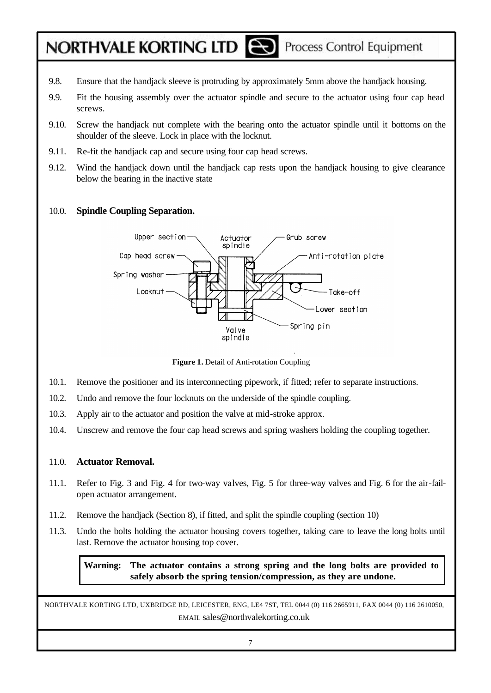- 9.8. Ensure that the handjack sleeve is protruding by approximately 5mm above the handjack housing.
- 9.9. Fit the housing assembly over the actuator spindle and secure to the actuator using four cap head screws.
- 9.10. Screw the handjack nut complete with the bearing onto the actuator spindle until it bottoms on the shoulder of the sleeve. Lock in place with the locknut.
- 9.11. Re-fit the handjack cap and secure using four cap head screws.
- 9.12. Wind the handjack down until the handjack cap rests upon the handjack housing to give clearance below the bearing in the inactive state

### 10.0. **Spindle Coupling Separation.**



**Figure 1.** Detail of Anti-rotation Coupling

- 10.1. Remove the positioner and its interconnecting pipework, if fitted; refer to separate instructions.
- 10.2. Undo and remove the four locknuts on the underside of the spindle coupling.
- 10.3. Apply air to the actuator and position the valve at mid-stroke approx.
- 10.4. Unscrew and remove the four cap head screws and spring washers holding the coupling together.

#### 11.0. **Actuator Removal.**

- 11.1. Refer to Fig. 3 and Fig. 4 for two-way valves, Fig. 5 for three-way valves and Fig. 6 for the air-failopen actuator arrangement.
- 11.2. Remove the handjack (Section 8), if fitted, and split the spindle coupling (section 10)
- 11.3. Undo the bolts holding the actuator housing covers together, taking care to leave the long bolts until last. Remove the actuator housing top cover.

**Warning: The actuator contains a strong spring and the long bolts are provided to safely absorb the spring tension/compression, as they are undone.**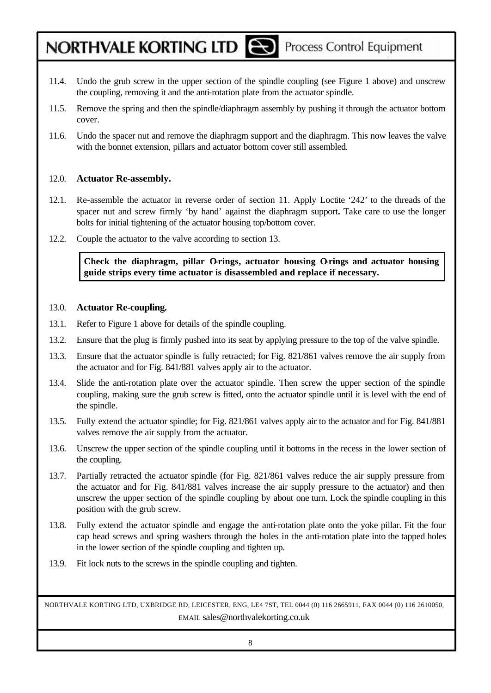- 11.4. Undo the grub screw in the upper section of the spindle coupling (see Figure 1 above) and unscrew the coupling, removing it and the anti-rotation plate from the actuator spindle.
- 11.5. Remove the spring and then the spindle/diaphragm assembly by pushing it through the actuator bottom cover.
- 11.6. Undo the spacer nut and remove the diaphragm support and the diaphragm. This now leaves the valve with the bonnet extension, pillars and actuator bottom cover still assembled.

#### 12.0. **Actuator Re-assembly.**

- 12.1. Re-assemble the actuator in reverse order of section 11. Apply Loctite '242' to the threads of the spacer nut and screw firmly 'by hand' against the diaphragm support**.** Take care to use the longer bolts for initial tightening of the actuator housing top/bottom cover.
- 12.2. Couple the actuator to the valve according to section 13.

Check the diaphragm, pillar Orings, actuator housing Orings and actuator housing **guide strips every time actuator is disassembled and replace if necessary.**

#### 13.0. **Actuator Re-coupling.**

- 13.1. Refer to Figure 1 above for details of the spindle coupling.
- 13.2. Ensure that the plug is firmly pushed into its seat by applying pressure to the top of the valve spindle.
- 13.3. Ensure that the actuator spindle is fully retracted; for Fig. 821/861 valves remove the air supply from the actuator and for Fig. 841/881 valves apply air to the actuator.
- 13.4. Slide the anti-rotation plate over the actuator spindle. Then screw the upper section of the spindle coupling, making sure the grub screw is fitted, onto the actuator spindle until it is level with the end of the spindle.
- 13.5. Fully extend the actuator spindle; for Fig. 821/861 valves apply air to the actuator and for Fig. 841/881 valves remove the air supply from the actuator.
- 13.6. Unscrew the upper section of the spindle coupling until it bottoms in the recess in the lower section of the coupling.
- 13.7. Partially retracted the actuator spindle (for Fig. 821/861 valves reduce the air supply pressure from the actuator and for Fig. 841/881 valves increase the air supply pressure to the actuator) and then unscrew the upper section of the spindle coupling by about one turn. Lock the spindle coupling in this position with the grub screw.
- 13.8. Fully extend the actuator spindle and engage the anti-rotation plate onto the yoke pillar. Fit the four cap head screws and spring washers through the holes in the anti-rotation plate into the tapped holes in the lower section of the spindle coupling and tighten up.
- 13.9. Fit lock nuts to the screws in the spindle coupling and tighten.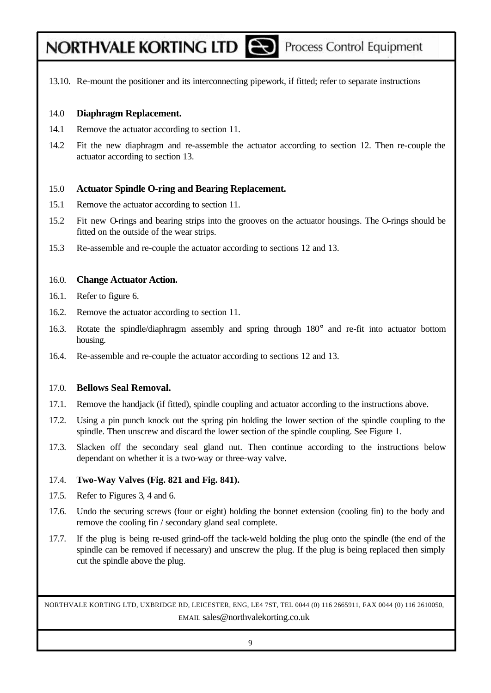- 
- 13.10. Re-mount the positioner and its interconnecting pipework, if fitted; refer to separate instructions

### 14.0 **Diaphragm Replacement.**

- 14.1 Remove the actuator according to section 11.
- 14.2 Fit the new diaphragm and re-assemble the actuator according to section 12. Then re-couple the actuator according to section 13.

### 15.0 **Actuator Spindle O-ring and Bearing Replacement.**

- 15.1 Remove the actuator according to section 11.
- 15.2 Fit new O-rings and bearing strips into the grooves on the actuator housings. The O-rings should be fitted on the outside of the wear strips.
- 15.3 Re-assemble and re-couple the actuator according to sections 12 and 13.

### 16.0. **Change Actuator Action.**

- 16.1. Refer to figure 6.
- 16.2. Remove the actuator according to section 11.
- 16.3. Rotate the spindle/diaphragm assembly and spring through 180° and re-fit into actuator bottom housing.
- 16.4. Re-assemble and re-couple the actuator according to sections 12 and 13.

### 17.0. **Bellows Seal Removal.**

- 17.1. Remove the handjack (if fitted), spindle coupling and actuator according to the instructions above.
- 17.2. Using a pin punch knock out the spring pin holding the lower section of the spindle coupling to the spindle. Then unscrew and discard the lower section of the spindle coupling. See Figure 1.
- 17.3. Slacken off the secondary seal gland nut. Then continue according to the instructions below dependant on whether it is a two-way or three-way valve.

### 17.4. **Two-Way Valves (Fig. 821 and Fig. 841).**

- 17.5. Refer to Figures 3, 4 and 6.
- 17.6. Undo the securing screws (four or eight) holding the bonnet extension (cooling fin) to the body and remove the cooling fin / secondary gland seal complete.
- 17.7. If the plug is being re-used grind-off the tack-weld holding the plug onto the spindle (the end of the spindle can be removed if necessary) and unscrew the plug. If the plug is being replaced then simply cut the spindle above the plug.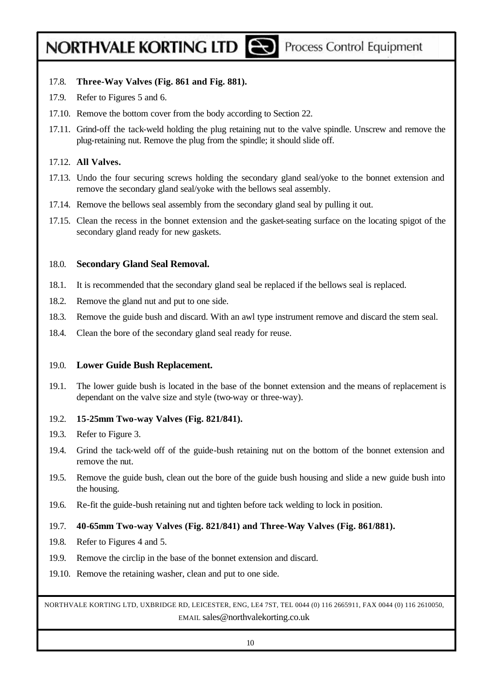# NORTHVALE KORTING LTD

- 17.8. **Three-Way Valves (Fig. 861 and Fig. 881).**
- 17.9. Refer to Figures 5 and 6.
- 17.10. Remove the bottom cover from the body according to Section 22.
- 17.11. Grind-off the tack-weld holding the plug retaining nut to the valve spindle. Unscrew and remove the plug-retaining nut. Remove the plug from the spindle; it should slide off.

#### 17.12. **All Valves.**

- 17.13. Undo the four securing screws holding the secondary gland seal/yoke to the bonnet extension and remove the secondary gland seal/yoke with the bellows seal assembly.
- 17.14. Remove the bellows seal assembly from the secondary gland seal by pulling it out.
- 17.15. Clean the recess in the bonnet extension and the gasket-seating surface on the locating spigot of the secondary gland ready for new gaskets.

#### 18.0. **Secondary Gland Seal Removal.**

- 18.1. It is recommended that the secondary gland seal be replaced if the bellows seal is replaced.
- 18.2. Remove the gland nut and put to one side.
- 18.3. Remove the guide bush and discard. With an awl type instrument remove and discard the stem seal.
- 18.4. Clean the bore of the secondary gland seal ready for reuse.

#### 19.0. **Lower Guide Bush Replacement.**

19.1. The lower guide bush is located in the base of the bonnet extension and the means of replacement is dependant on the valve size and style (two-way or three-way).

#### 19.2. **15-25mm Two-way Valves (Fig. 821/841).**

- 19.3. Refer to Figure 3.
- 19.4. Grind the tack-weld off of the guide-bush retaining nut on the bottom of the bonnet extension and remove the nut.
- 19.5. Remove the guide bush, clean out the bore of the guide bush housing and slide a new guide bush into the housing.
- 19.6. Re-fit the guide-bush retaining nut and tighten before tack welding to lock in position.

#### 19.7. **40-65mm Two-way Valves (Fig. 821/841) and Three-Way Valves (Fig. 861/881).**

- 19.8. Refer to Figures 4 and 5.
- 19.9. Remove the circlip in the base of the bonnet extension and discard.
- 19.10. Remove the retaining washer, clean and put to one side.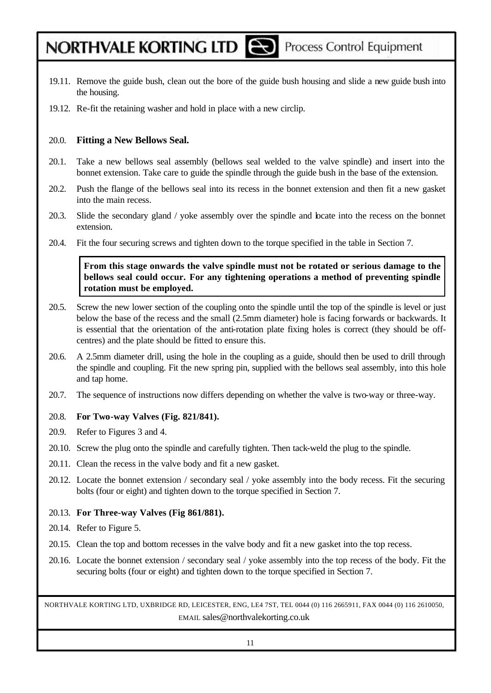- 
- 19.11. Remove the guide bush, clean out the bore of the guide bush housing and slide a new guide bush into the housing.
- 19.12. Re-fit the retaining washer and hold in place with a new circlip.

#### 20.0. **Fitting a New Bellows Seal.**

- 20.1. Take a new bellows seal assembly (bellows seal welded to the valve spindle) and insert into the bonnet extension. Take care to guide the spindle through the guide bush in the base of the extension.
- 20.2. Push the flange of the bellows seal into its recess in the bonnet extension and then fit a new gasket into the main recess.
- 20.3. Slide the secondary gland / yoke assembly over the spindle and locate into the recess on the bonnet extension.
- 20.4. Fit the four securing screws and tighten down to the torque specified in the table in Section 7.

#### **From this stage onwards the valve spindle must not be rotated or serious damage to the bellows seal could occur. For any tightening operations a method of preventing spindle rotation must be employed.**

- 20.5. Screw the new lower section of the coupling onto the spindle until the top of the spindle is level or just below the base of the recess and the small (2.5mm diameter) hole is facing forwards or backwards. It is essential that the orientation of the anti-rotation plate fixing holes is correct (they should be offcentres) and the plate should be fitted to ensure this.
- 20.6. A 2.5mm diameter drill, using the hole in the coupling as a guide, should then be used to drill through the spindle and coupling. Fit the new spring pin, supplied with the bellows seal assembly, into this hole and tap home.
- 20.7. The sequence of instructions now differs depending on whether the valve is two-way or three-way.

#### 20.8. **For Two-way Valves (Fig. 821/841).**

- 20.9. Refer to Figures 3 and 4.
- 20.10. Screw the plug onto the spindle and carefully tighten. Then tack-weld the plug to the spindle.
- 20.11. Clean the recess in the valve body and fit a new gasket.
- 20.12. Locate the bonnet extension / secondary seal / yoke assembly into the body recess. Fit the securing bolts (four or eight) and tighten down to the torque specified in Section 7.

### 20.13. **For Three-way Valves (Fig 861/881).**

- 20.14. Refer to Figure 5.
- 20.15. Clean the top and bottom recesses in the valve body and fit a new gasket into the top recess.
- 20.16. Locate the bonnet extension / secondary seal / yoke assembly into the top recess of the body. Fit the securing bolts (four or eight) and tighten down to the torque specified in Section 7.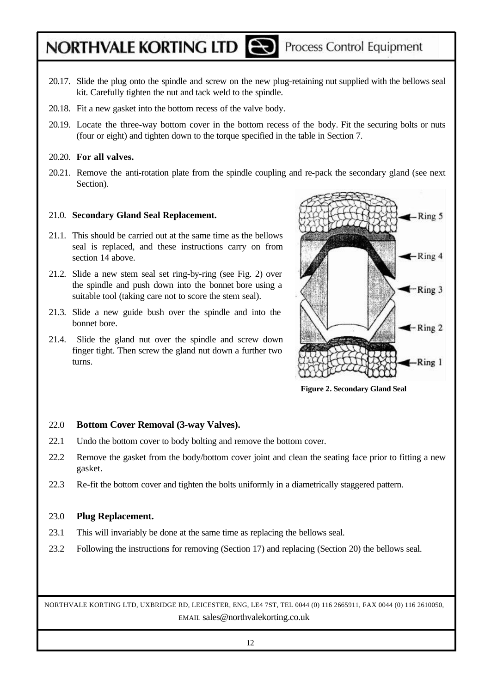- 20.17. Slide the plug onto the spindle and screw on the new plug-retaining nut supplied with the bellows seal kit. Carefully tighten the nut and tack weld to the spindle.
- 20.18. Fit a new gasket into the bottom recess of the valve body.
- 20.19. Locate the three-way bottom cover in the bottom recess of the body. Fit the securing bolts or nuts (four or eight) and tighten down to the torque specified in the table in Section 7.

#### 20.20. **For all valves.**

20.21. Remove the anti-rotation plate from the spindle coupling and re-pack the secondary gland (see next Section).

#### 21.0. **Secondary Gland Seal Replacement.**

- 21.1. This should be carried out at the same time as the bellows seal is replaced, and these instructions carry on from section 14 above.
- 21.2. Slide a new stem seal set ring-by-ring (see Fig. 2) over the spindle and push down into the bonnet bore using a suitable tool (taking care not to score the stem seal).
- 21.3. Slide a new guide bush over the spindle and into the bonnet bore.
- 21.4. Slide the gland nut over the spindle and screw down finger tight. Then screw the gland nut down a further two turns.



**Figure 2. Secondary Gland Seal**

#### 22.0 **Bottom Cover Removal (3-way Valves).**

- 22.1 Undo the bottom cover to body bolting and remove the bottom cover.
- 22.2 Remove the gasket from the body/bottom cover joint and clean the seating face prior to fitting a new gasket.
- 22.3 Re-fit the bottom cover and tighten the bolts uniformly in a diametrically staggered pattern.

#### 23.0 **Plug Replacement.**

- 23.1 This will invariably be done at the same time as replacing the bellows seal.
- 23.2 Following the instructions for removing (Section 17) and replacing (Section 20) the bellows seal.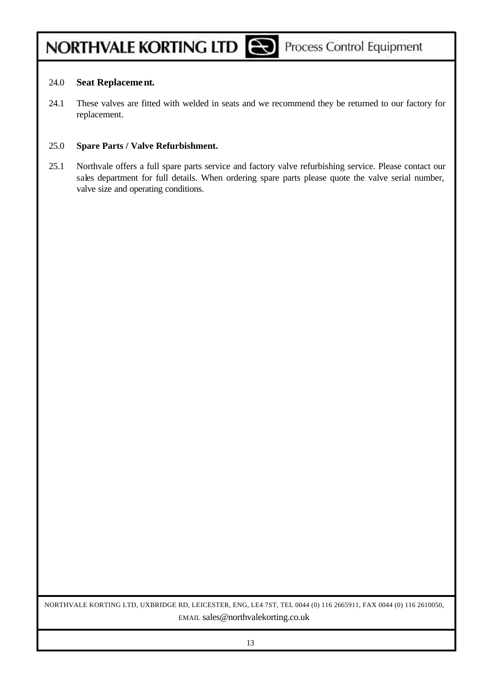### 24.0 **Seat Replacement.**

24.1 These valves are fitted with welded in seats and we recommend they be returned to our factory for replacement.

#### 25.0 **Spare Parts / Valve Refurbishment.**

25.1 Northvale offers a full spare parts service and factory valve refurbishing service. Please contact our sales department for full details. When ordering spare parts please quote the valve serial number, valve size and operating conditions.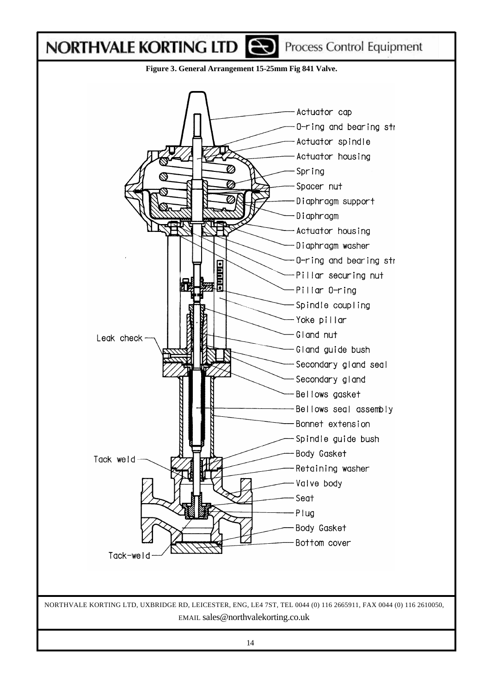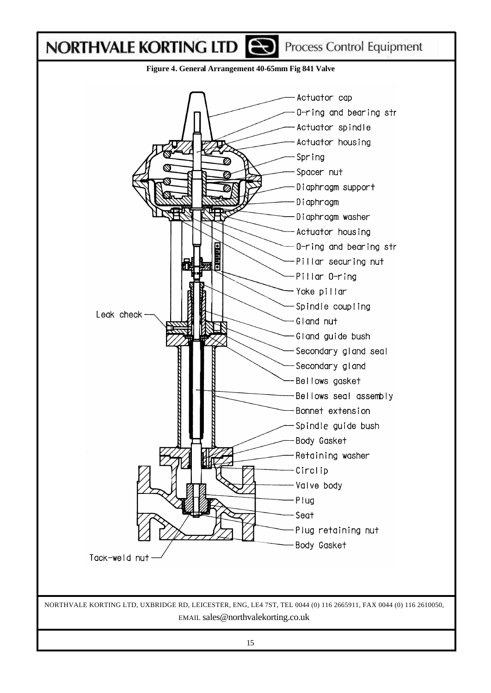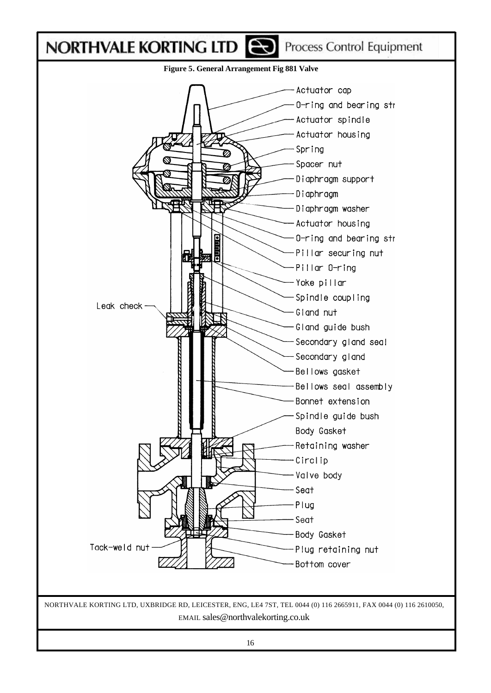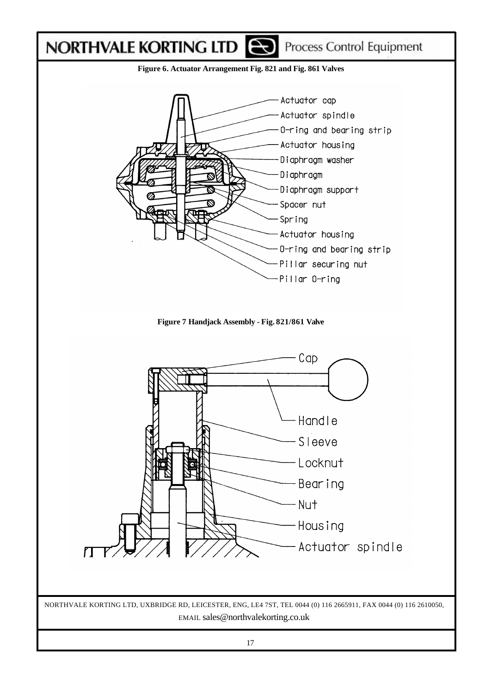